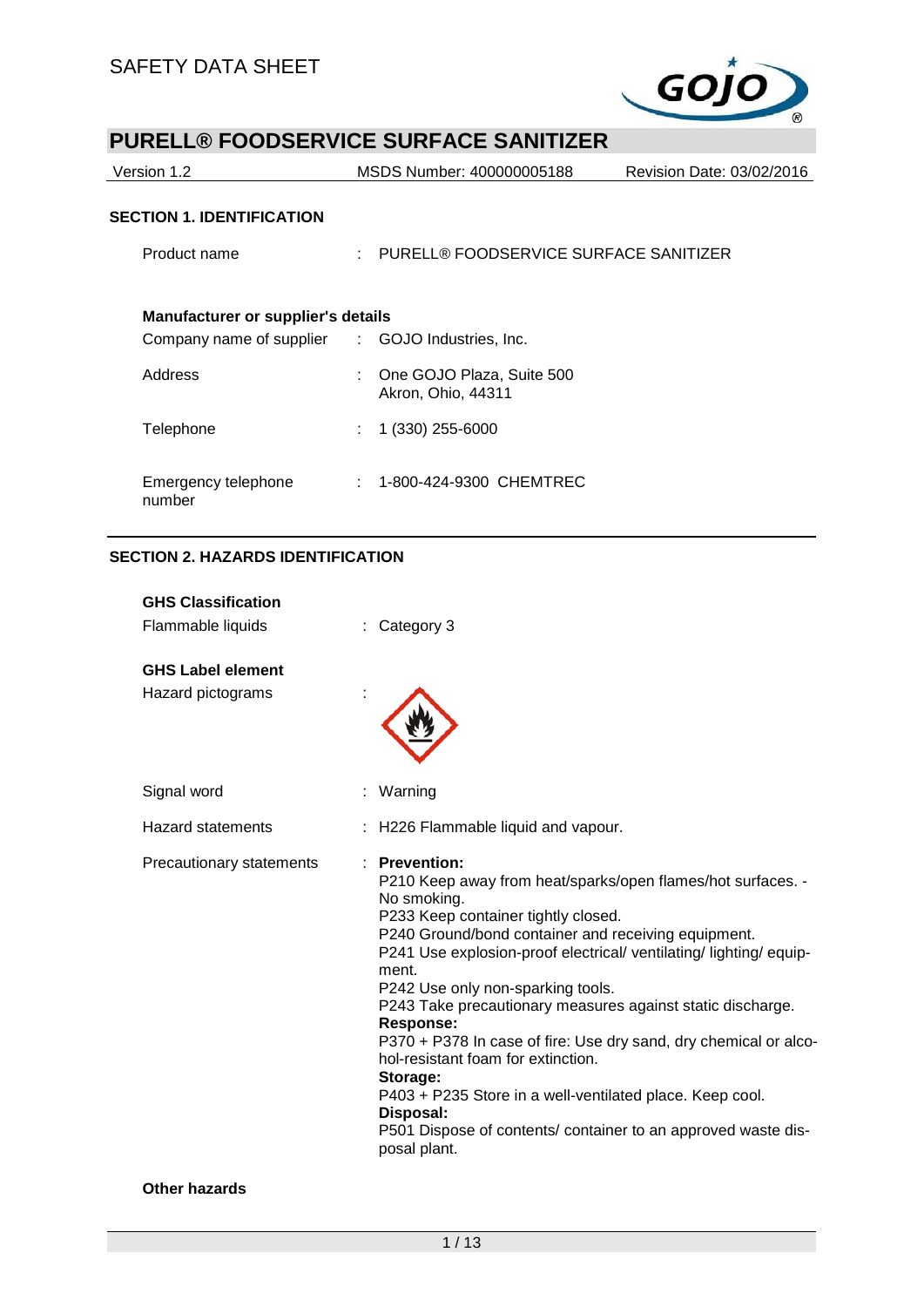

| Version 1.2 | MSDS Number: 400000005188 | Revision Date: 03/02/2016 |  |  |  |  |
|-------------|---------------------------|---------------------------|--|--|--|--|
|             |                           |                           |  |  |  |  |

## **SECTION 1. IDENTIFICATION**

| ייטו יוסדו וויטבונו יוסדו טב                                                                  |    |                                                   |
|-----------------------------------------------------------------------------------------------|----|---------------------------------------------------|
| Product name                                                                                  |    | : PURELL® FOODSERVICE SURFACE SANITIZER           |
| <b>Manufacturer or supplier's details</b><br>Company name of supplier : GOJO Industries, Inc. |    |                                                   |
| Address                                                                                       |    | : One GOJO Plaza, Suite 500<br>Akron, Ohio, 44311 |
| Telephone                                                                                     | t. | 1 (330) 255-6000                                  |
| Emergency telephone<br>number                                                                 | ÷. | 1-800-424-9300 CHEMTREC                           |
|                                                                                               |    |                                                   |

# **SECTION 2. HAZARDS IDENTIFICATION**

| <b>GHS Classification</b><br>Flammable liquids | : Category 3                                                                                                                                                                                                                                                                                                                                                                                                                                                                                                                                                                                                                                                                   |
|------------------------------------------------|--------------------------------------------------------------------------------------------------------------------------------------------------------------------------------------------------------------------------------------------------------------------------------------------------------------------------------------------------------------------------------------------------------------------------------------------------------------------------------------------------------------------------------------------------------------------------------------------------------------------------------------------------------------------------------|
| <b>GHS Label element</b><br>Hazard pictograms  |                                                                                                                                                                                                                                                                                                                                                                                                                                                                                                                                                                                                                                                                                |
| Signal word                                    | : Warning                                                                                                                                                                                                                                                                                                                                                                                                                                                                                                                                                                                                                                                                      |
| <b>Hazard statements</b>                       | : H226 Flammable liquid and vapour.                                                                                                                                                                                                                                                                                                                                                                                                                                                                                                                                                                                                                                            |
| Precautionary statements                       | $:$ Prevention:<br>P210 Keep away from heat/sparks/open flames/hot surfaces. -<br>No smoking.<br>P233 Keep container tightly closed.<br>P240 Ground/bond container and receiving equipment.<br>P241 Use explosion-proof electrical/ventilating/lighting/equip-<br>ment.<br>P242 Use only non-sparking tools.<br>P243 Take precautionary measures against static discharge.<br><b>Response:</b><br>P370 + P378 In case of fire: Use dry sand, dry chemical or alco-<br>hol-resistant foam for extinction.<br>Storage:<br>P403 + P235 Store in a well-ventilated place. Keep cool.<br>Disposal:<br>P501 Dispose of contents/ container to an approved waste dis-<br>posal plant. |

#### **Other hazards**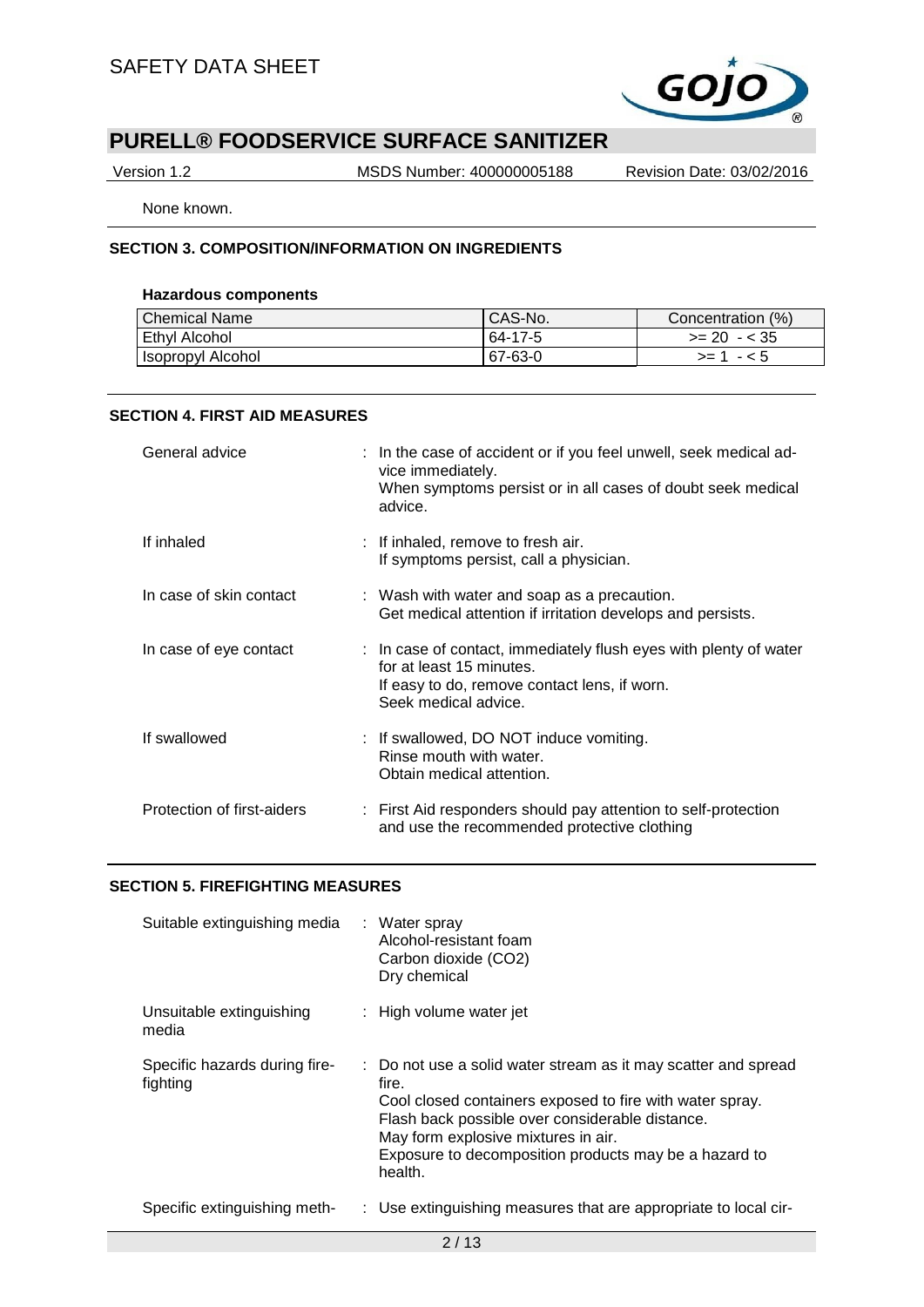

Version 1.2 MSDS Number: 400000005188 Revision Date: 03/02/2016

None known.

### **SECTION 3. COMPOSITION/INFORMATION ON INGREDIENTS**

#### **Hazardous components**

| <b>Chemical Name</b> | CAS-No. | Concentration (%) |
|----------------------|---------|-------------------|
| Ethyl Alcohol        | 64-17-5 | $>= 20 - 35$      |
| l Isopropyl Alcohol  | 67-63-0 | - < 5<br>$>= 1$   |

#### **SECTION 4. FIRST AID MEASURES**

| General advice             | : In the case of accident or if you feel unwell, seek medical ad-<br>vice immediately.<br>When symptoms persist or in all cases of doubt seek medical<br>advice.      |
|----------------------------|-----------------------------------------------------------------------------------------------------------------------------------------------------------------------|
| If inhaled                 | : If inhaled, remove to fresh air.<br>If symptoms persist, call a physician.                                                                                          |
| In case of skin contact    | : Wash with water and soap as a precaution.<br>Get medical attention if irritation develops and persists.                                                             |
| In case of eye contact     | : In case of contact, immediately flush eyes with plenty of water<br>for at least 15 minutes.<br>If easy to do, remove contact lens, if worn.<br>Seek medical advice. |
| If swallowed               | : If swallowed, DO NOT induce vomiting.<br>Rinse mouth with water.<br>Obtain medical attention.                                                                       |
| Protection of first-aiders | : First Aid responders should pay attention to self-protection<br>and use the recommended protective clothing                                                         |

#### **SECTION 5. FIREFIGHTING MEASURES**

| Suitable extinguishing media              | : Water spray<br>Alcohol-resistant foam<br>Carbon dioxide (CO2)<br>Dry chemical                                                                                                                                                                                                                   |  |
|-------------------------------------------|---------------------------------------------------------------------------------------------------------------------------------------------------------------------------------------------------------------------------------------------------------------------------------------------------|--|
| Unsuitable extinguishing<br>media         | : High volume water jet                                                                                                                                                                                                                                                                           |  |
| Specific hazards during fire-<br>fighting | : Do not use a solid water stream as it may scatter and spread<br>fire.<br>Cool closed containers exposed to fire with water spray.<br>Flash back possible over considerable distance.<br>May form explosive mixtures in air.<br>Exposure to decomposition products may be a hazard to<br>health. |  |
| Specific extinguishing meth-              | : Use extinguishing measures that are appropriate to local cir-                                                                                                                                                                                                                                   |  |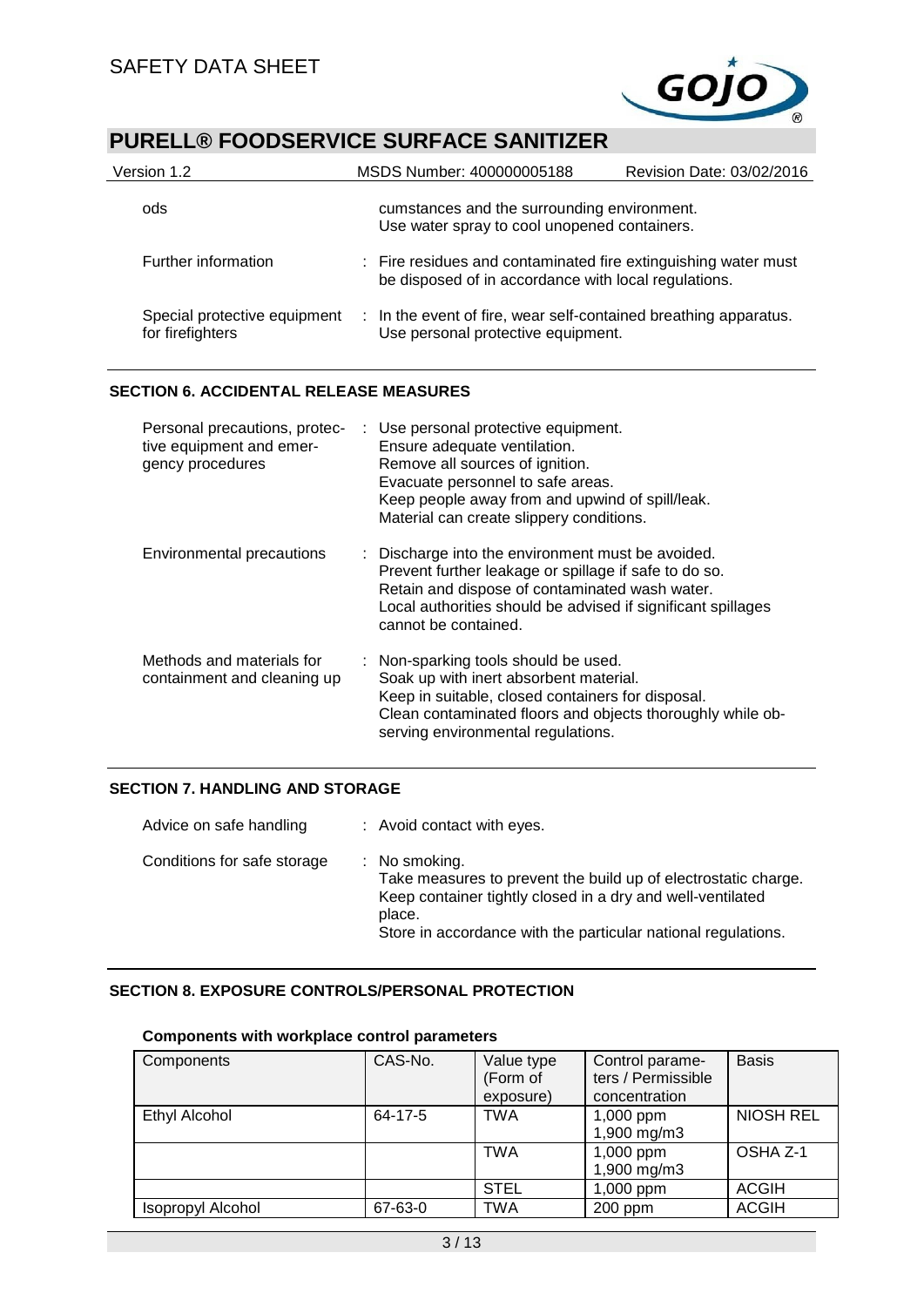

| Version 1.2                                      | MSDS Number: 400000005188<br>Revision Date: 03/02/2016 |                                                                                                                        |  |  |  |  |
|--------------------------------------------------|--------------------------------------------------------|------------------------------------------------------------------------------------------------------------------------|--|--|--|--|
| ods                                              |                                                        | cumstances and the surrounding environment.<br>Use water spray to cool unopened containers.                            |  |  |  |  |
| Further information                              |                                                        | : Fire residues and contaminated fire extinguishing water must<br>be disposed of in accordance with local regulations. |  |  |  |  |
| Special protective equipment<br>for firefighters |                                                        | : In the event of fire, wear self-contained breathing apparatus.<br>Use personal protective equipment.                 |  |  |  |  |

## **SECTION 6. ACCIDENTAL RELEASE MEASURES**

| Personal precautions, protec-<br>tive equipment and emer-<br>gency procedures | : Use personal protective equipment.<br>Ensure adequate ventilation.<br>Remove all sources of ignition.<br>Evacuate personnel to safe areas.<br>Keep people away from and upwind of spill/leak.<br>Material can create slippery conditions.          |
|-------------------------------------------------------------------------------|------------------------------------------------------------------------------------------------------------------------------------------------------------------------------------------------------------------------------------------------------|
| Environmental precautions                                                     | : Discharge into the environment must be avoided.<br>Prevent further leakage or spillage if safe to do so.<br>Retain and dispose of contaminated wash water.<br>Local authorities should be advised if significant spillages<br>cannot be contained. |
| Methods and materials for<br>containment and cleaning up                      | : Non-sparking tools should be used.<br>Soak up with inert absorbent material.<br>Keep in suitable, closed containers for disposal.<br>Clean contaminated floors and objects thoroughly while ob-<br>serving environmental regulations.              |

## **SECTION 7. HANDLING AND STORAGE**

| Advice on safe handling     | : Avoid contact with eyes.                                                                                                                                                                                                          |  |  |  |  |
|-----------------------------|-------------------------------------------------------------------------------------------------------------------------------------------------------------------------------------------------------------------------------------|--|--|--|--|
| Conditions for safe storage | $\therefore$ No smoking.<br>Take measures to prevent the build up of electrostatic charge.<br>Keep container tightly closed in a dry and well-ventilated<br>place.<br>Store in accordance with the particular national regulations. |  |  |  |  |

## **SECTION 8. EXPOSURE CONTROLS/PERSONAL PROTECTION**

| Components           | CAS-No. | Value type<br>(Form of<br>exposure) | Control parame-<br>ters / Permissible<br>concentration | <b>Basis</b>     |
|----------------------|---------|-------------------------------------|--------------------------------------------------------|------------------|
| <b>Ethyl Alcohol</b> | 64-17-5 | <b>TWA</b>                          | $1,000$ ppm<br>1,900 mg/m3                             | <b>NIOSH REL</b> |
|                      |         | <b>TWA</b>                          | 1,000 ppm<br>1,900 mg/m3                               | OSHA Z-1         |
|                      |         | <b>STEL</b>                         | 1,000 ppm                                              | <b>ACGIH</b>     |
| Isopropyl Alcohol    | 67-63-0 | <b>TWA</b>                          | 200 ppm                                                | <b>ACGIH</b>     |

## **Components with workplace control parameters**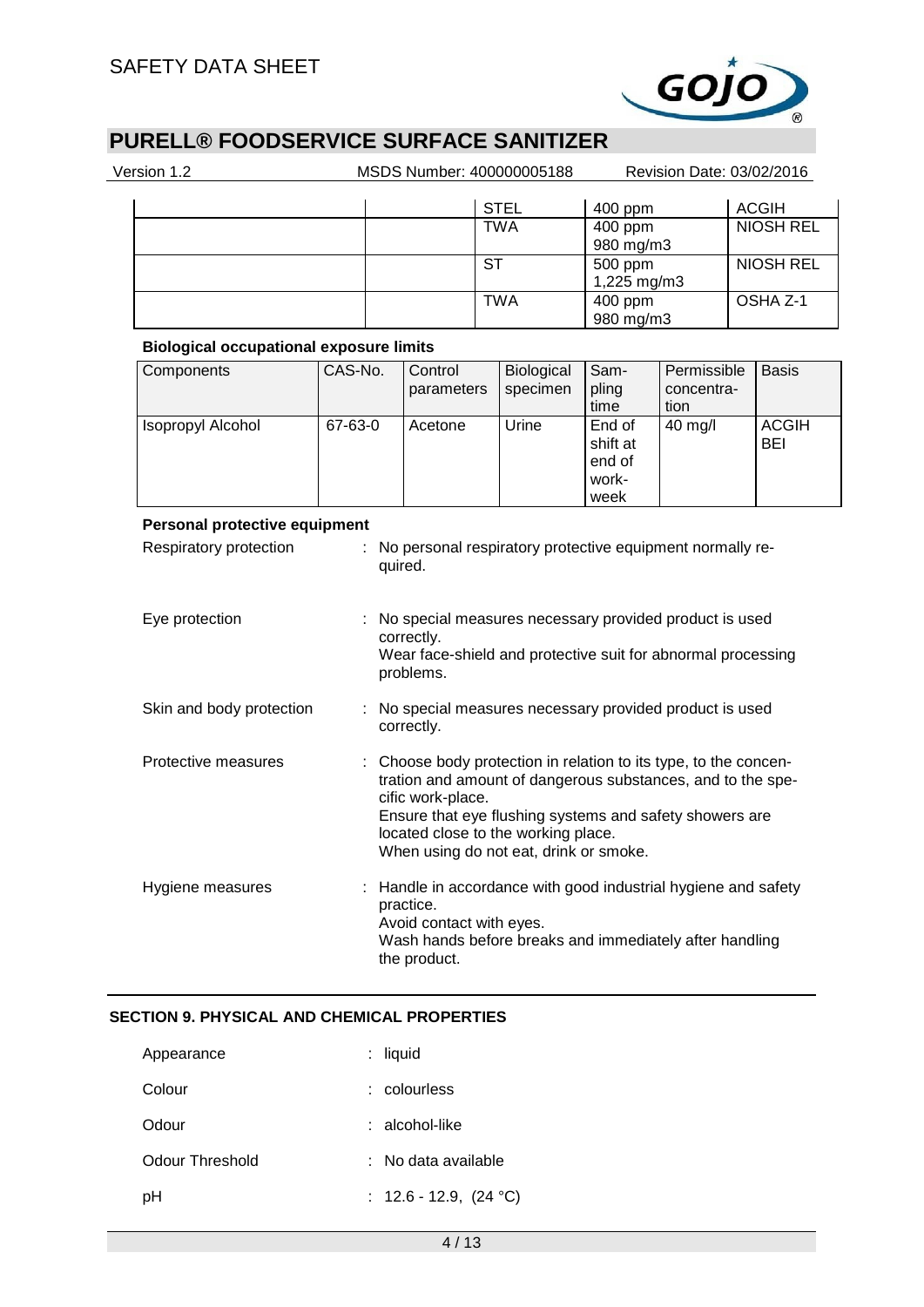

| Version 1.2                                    |                                                                                                       |  |                                    |                        | MSDS Number: 400000005188                                                                                                                                                                                                                                                 |                                               | Revision Date: 03/02/2016         |  |                     |
|------------------------------------------------|-------------------------------------------------------------------------------------------------------|--|------------------------------------|------------------------|---------------------------------------------------------------------------------------------------------------------------------------------------------------------------------------------------------------------------------------------------------------------------|-----------------------------------------------|-----------------------------------|--|---------------------|
|                                                |                                                                                                       |  |                                    |                        | <b>STEL</b>                                                                                                                                                                                                                                                               | 400 ppm                                       |                                   |  | <b>ACGIH</b>        |
|                                                |                                                                                                       |  |                                    |                        | <b>TWA</b>                                                                                                                                                                                                                                                                | 400 ppm<br>980 mg/m3                          |                                   |  | <b>NIOSH REL</b>    |
|                                                |                                                                                                       |  |                                    | $\overline{\text{ST}}$ |                                                                                                                                                                                                                                                                           | $500$ ppm<br>1,225 mg/m3                      |                                   |  | <b>NIOSH REL</b>    |
|                                                |                                                                                                       |  |                                    |                        | <b>TWA</b>                                                                                                                                                                                                                                                                | 400 ppm<br>980 mg/m3                          |                                   |  | OSHA Z-1            |
| <b>Biological occupational exposure limits</b> |                                                                                                       |  |                                    |                        |                                                                                                                                                                                                                                                                           |                                               |                                   |  |                     |
| Components                                     | CAS-No.                                                                                               |  | Control<br>parameters              |                        | Biological<br>specimen                                                                                                                                                                                                                                                    | Sam-<br>pling<br>time                         | Permissible<br>concentra-<br>tion |  | <b>Basis</b>        |
| Isopropyl Alcohol                              | 67-63-0                                                                                               |  | Acetone                            |                        | Urine                                                                                                                                                                                                                                                                     | End of<br>shift at<br>end of<br>work-<br>week | 40 mg/l                           |  | <b>ACGIH</b><br>BEI |
| Eye protection                                 |                                                                                                       |  | quired.<br>correctly.<br>problems. |                        | : No special measures necessary provided product is used<br>Wear face-shield and protective suit for abnormal processing                                                                                                                                                  |                                               |                                   |  |                     |
| Skin and body protection                       | : No special measures necessary provided product is used<br>correctly.                                |  |                                    |                        |                                                                                                                                                                                                                                                                           |                                               |                                   |  |                     |
| Protective measures                            |                                                                                                       |  | cific work-place.                  |                        | Choose body protection in relation to its type, to the concen-<br>tration and amount of dangerous substances, and to the spe-<br>Ensure that eye flushing systems and safety showers are<br>located close to the working place.<br>When using do not eat, drink or smoke. |                                               |                                   |  |                     |
| Hygiene measures                               | Handle in accordance with good industrial hygiene and safety<br>practice.<br>Avoid contact with eyes. |  |                                    |                        |                                                                                                                                                                                                                                                                           |                                               |                                   |  |                     |

## **SECTION 9. PHYSICAL AND CHEMICAL PROPERTIES**

| Appearance      | : liquid                    |
|-----------------|-----------------------------|
| Colour          | : colourless                |
| Odour           | ∴ alcohol-like              |
| Odour Threshold | : No data available         |
| рH              | : $12.6 - 12.9$ , $(24 °C)$ |

the product.

Wash hands before breaks and immediately after handling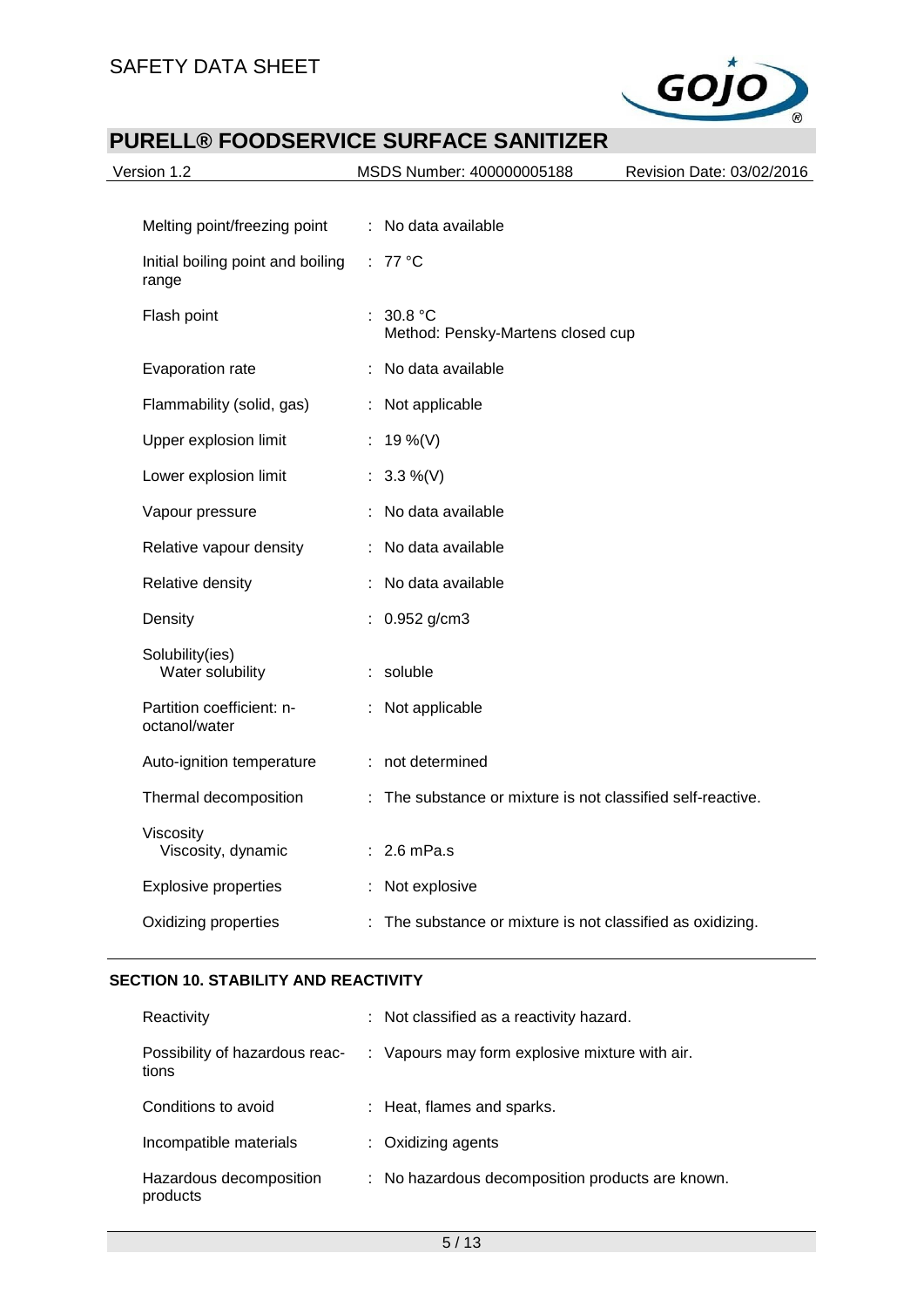

| Version 1.2                                | MSDS Number: 400000005188<br>Revision Date: 03/02/2016      |
|--------------------------------------------|-------------------------------------------------------------|
|                                            |                                                             |
| Melting point/freezing point               | : No data available                                         |
| Initial boiling point and boiling<br>range | : $77^{\circ}$ C                                            |
| Flash point                                | 30.8 $^{\circ}$ C<br>Method: Pensky-Martens closed cup      |
| Evaporation rate                           | : No data available                                         |
| Flammability (solid, gas)                  | : Not applicable                                            |
| Upper explosion limit                      | : 19 %(V)                                                   |
| Lower explosion limit                      | : $3.3\%$ (V)                                               |
| Vapour pressure                            | No data available                                           |
| Relative vapour density                    | No data available                                           |
| Relative density                           | No data available                                           |
| Density                                    | 0.952 g/cm3                                                 |
| Solubility(ies)<br>Water solubility        | : soluble                                                   |
| Partition coefficient: n-<br>octanol/water | : Not applicable                                            |
| Auto-ignition temperature                  | : not determined                                            |
| Thermal decomposition                      | : The substance or mixture is not classified self-reactive. |
| Viscosity<br>Viscosity, dynamic            | $: 2.6$ mPa.s                                               |
| <b>Explosive properties</b>                | : Not explosive                                             |
| Oxidizing properties                       | : The substance or mixture is not classified as oxidizing.  |
|                                            |                                                             |

#### **SECTION 10. STABILITY AND REACTIVITY**

| Reactivity                              | : Not classified as a reactivity hazard.         |
|-----------------------------------------|--------------------------------------------------|
| Possibility of hazardous reac-<br>tions | : Vapours may form explosive mixture with air.   |
| Conditions to avoid                     | : Heat, flames and sparks.                       |
| Incompatible materials                  | $:$ Oxidizing agents                             |
| Hazardous decomposition<br>products     | : No hazardous decomposition products are known. |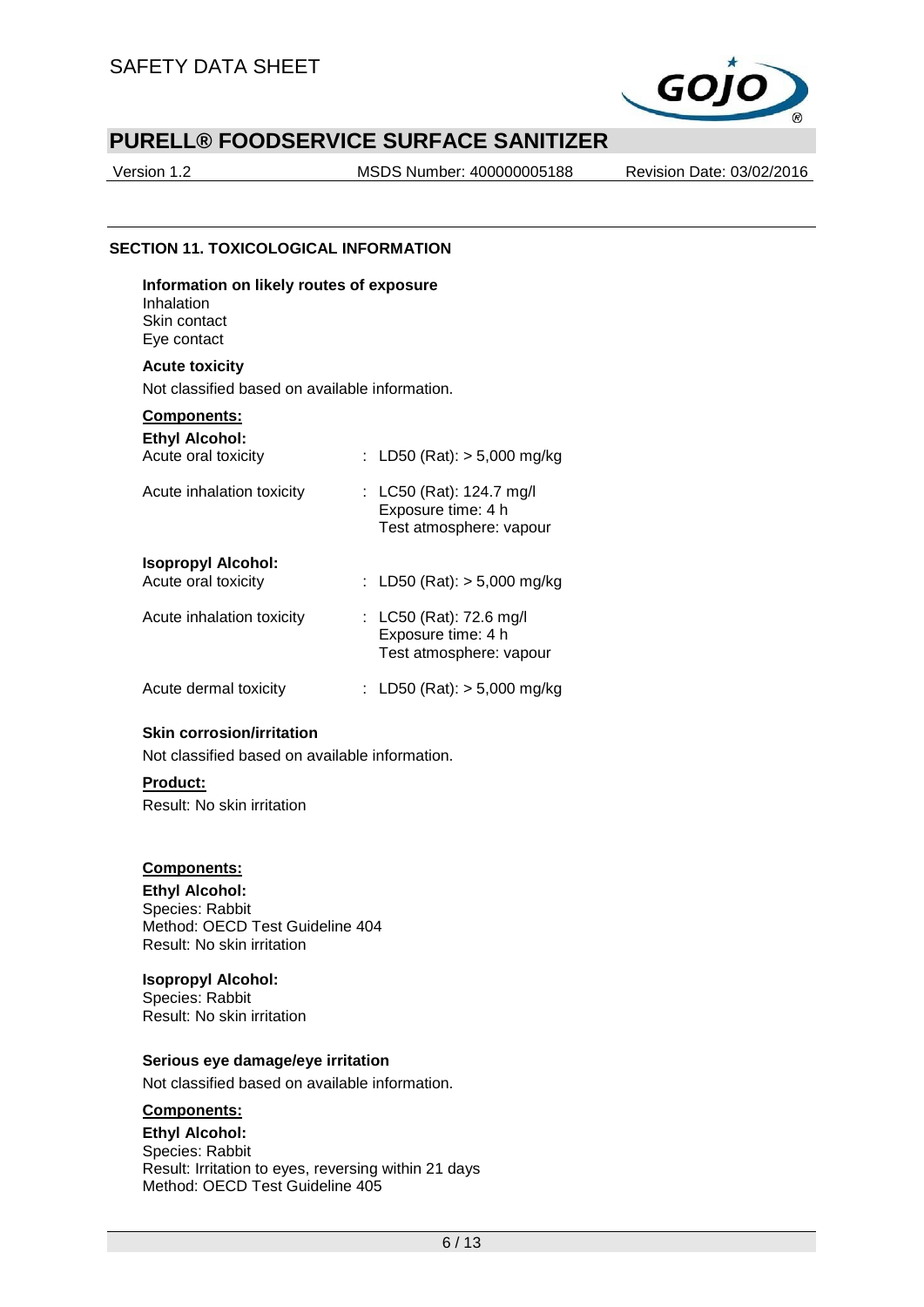

Version 1.2 MSDS Number: 400000005188 Revision Date: 03/02/2016

#### **SECTION 11. TOXICOLOGICAL INFORMATION**

**Information on likely routes of exposure** Inhalation Skin contact Eye contact

#### **Acute toxicity**

Not classified based on available information.

## **Components:**

| <b>Ethyl Alcohol:</b><br>Acute oral toxicity     | : LD50 (Rat): $> 5,000$ mg/kg                                             |
|--------------------------------------------------|---------------------------------------------------------------------------|
| Acute inhalation toxicity                        | : LC50 (Rat): 124.7 mg/l<br>Exposure time: 4 h<br>Test atmosphere: vapour |
| <b>Isopropyl Alcohol:</b><br>Acute oral toxicity | : LD50 (Rat): $>$ 5,000 mg/kg                                             |
| Acute inhalation toxicity                        | : LC50 (Rat): 72.6 mg/l<br>Exposure time: 4 h<br>Test atmosphere: vapour  |
| Acute dermal toxicity                            | LD50 (Rat): $>$ 5,000 mg/kg                                               |

#### **Skin corrosion/irritation**

Not classified based on available information.

#### **Product:**

Result: No skin irritation

#### **Components:**

**Ethyl Alcohol:** Species: Rabbit Method: OECD Test Guideline 404 Result: No skin irritation

#### **Isopropyl Alcohol:**

Species: Rabbit Result: No skin irritation

#### **Serious eye damage/eye irritation**

Not classified based on available information.

## **Components:**

**Ethyl Alcohol:** Species: Rabbit Result: Irritation to eyes, reversing within 21 days Method: OECD Test Guideline 405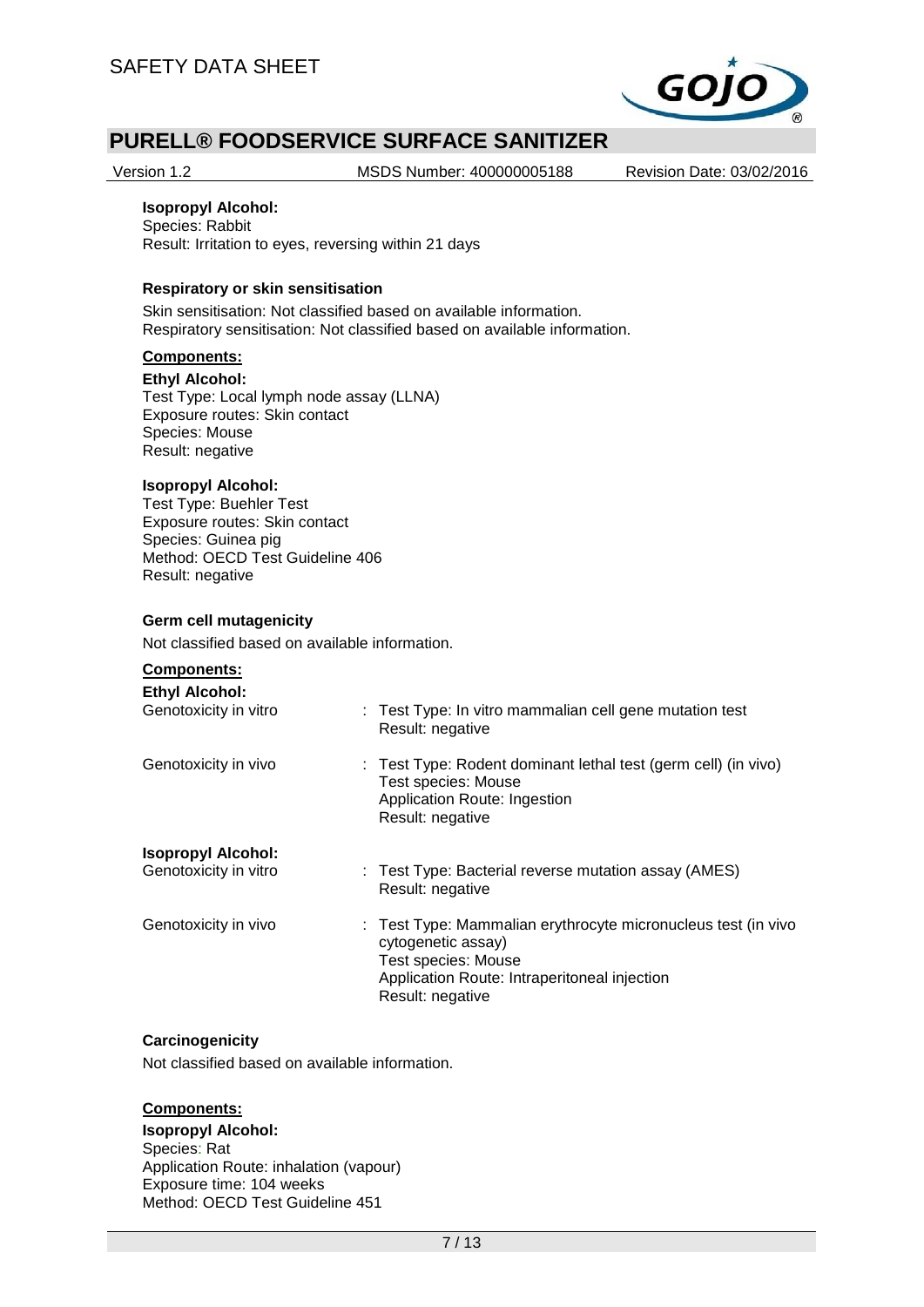

Version 1.2 MSDS Number: 400000005188 Revision Date: 03/02/2016

#### **Isopropyl Alcohol:**

Species: Rabbit Result: Irritation to eyes, reversing within 21 days

#### **Respiratory or skin sensitisation**

Skin sensitisation: Not classified based on available information. Respiratory sensitisation: Not classified based on available information.

## **Components:**

**Ethyl Alcohol:**

Test Type: Local lymph node assay (LLNA) Exposure routes: Skin contact Species: Mouse Result: negative

## **Isopropyl Alcohol:**

Test Type: Buehler Test Exposure routes: Skin contact Species: Guinea pig Method: OECD Test Guideline 406 Result: negative

#### **Germ cell mutagenicity**

Not classified based on available information.

#### **Components:**

| <b>Ethyl Alcohol:</b>     | : Test Type: In vitro mammalian cell gene mutation test                                                                                                                        |
|---------------------------|--------------------------------------------------------------------------------------------------------------------------------------------------------------------------------|
| Genotoxicity in vitro     | Result: negative                                                                                                                                                               |
| Genotoxicity in vivo      | : Test Type: Rodent dominant lethal test (germ cell) (in vivo)<br>Test species: Mouse<br>Application Route: Ingestion<br>Result: negative                                      |
| <b>Isopropyl Alcohol:</b> | : Test Type: Bacterial reverse mutation assay (AMES)                                                                                                                           |
| Genotoxicity in vitro     | Result: negative                                                                                                                                                               |
| Genotoxicity in vivo      | : Test Type: Mammalian erythrocyte micronucleus test (in vivo<br>cytogenetic assay)<br>Test species: Mouse<br>Application Route: Intraperitoneal injection<br>Result: negative |

#### **Carcinogenicity**

Not classified based on available information.

## **Components:**

#### **Isopropyl Alcohol:**

Species: Rat Application Route: inhalation (vapour) Exposure time: 104 weeks Method: OECD Test Guideline 451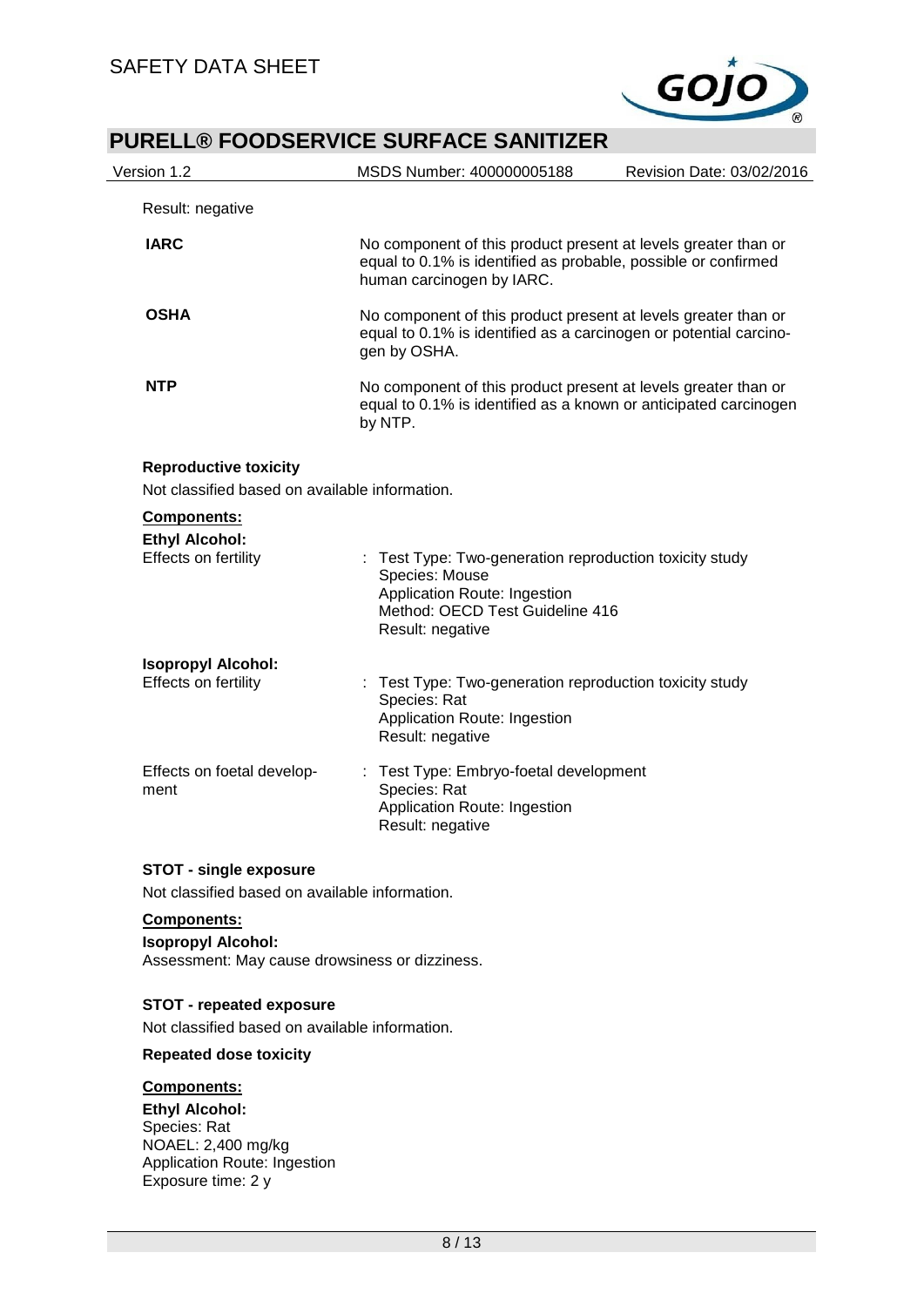

| Version 1.2                                                                                | MSDS Number: 400000005188<br>Revision Date: 03/02/2016                                                                                                         |
|--------------------------------------------------------------------------------------------|----------------------------------------------------------------------------------------------------------------------------------------------------------------|
| Result: negative                                                                           |                                                                                                                                                                |
| <b>IARC</b>                                                                                | No component of this product present at levels greater than or<br>equal to 0.1% is identified as probable, possible or confirmed<br>human carcinogen by IARC.  |
| <b>OSHA</b>                                                                                | No component of this product present at levels greater than or<br>equal to 0.1% is identified as a carcinogen or potential carcino-<br>gen by OSHA.            |
| <b>NTP</b>                                                                                 | No component of this product present at levels greater than or<br>equal to 0.1% is identified as a known or anticipated carcinogen<br>by NTP.                  |
| <b>Reproductive toxicity</b><br>Not classified based on available information.             |                                                                                                                                                                |
| Components:<br><b>Ethyl Alcohol:</b><br>Effects on fertility                               | Test Type: Two-generation reproduction toxicity study<br>Species: Mouse<br>Application Route: Ingestion<br>Method: OECD Test Guideline 416<br>Result: negative |
| <b>Isopropyl Alcohol:</b><br>Effects on fertility                                          | Test Type: Two-generation reproduction toxicity study<br>t<br>Species: Rat<br>Application Route: Ingestion<br>Result: negative                                 |
| Effects on foetal develop-<br>ment                                                         | Test Type: Embryo-foetal development<br>÷<br>Species: Rat<br>Application Route: Ingestion<br>Result: negative                                                  |
| <b>STOT - single exposure</b><br>Not classified based on available information.            |                                                                                                                                                                |
|                                                                                            |                                                                                                                                                                |
| Components:<br><b>Isopropyl Alcohol:</b><br>Assessment: May cause drowsiness or dizziness. |                                                                                                                                                                |
| <b>STOT - repeated exposure</b><br>Not classified based on available information.          |                                                                                                                                                                |
| <b>Repeated dose toxicity</b>                                                              |                                                                                                                                                                |
| Components:                                                                                |                                                                                                                                                                |
| <b>Ethyl Alcohol:</b><br>Species: Rat                                                      |                                                                                                                                                                |

NOAEL: 2,400 mg/kg Application Route: Ingestion Exposure time: 2 y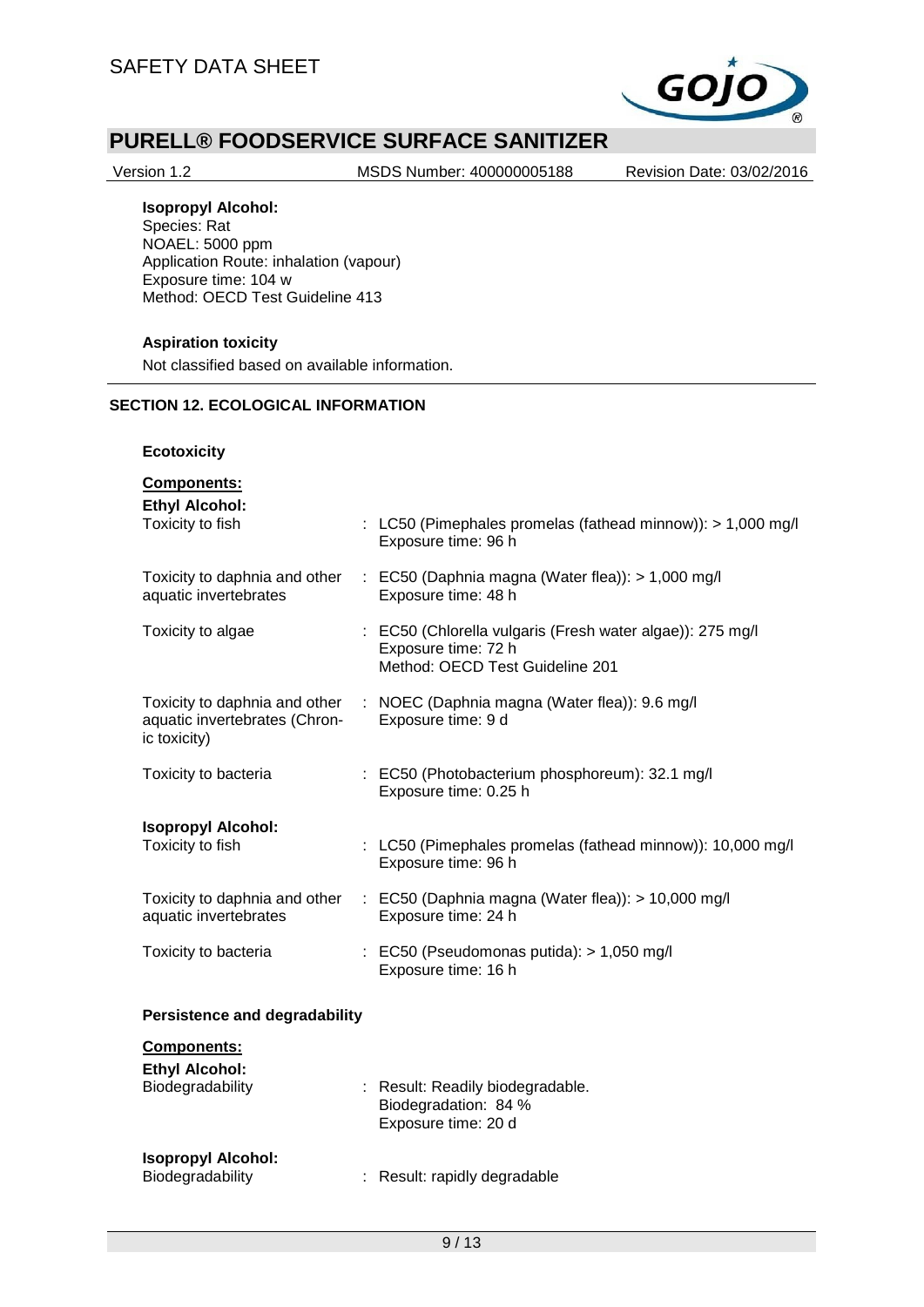

Version 1.2 MSDS Number: 400000005188 Revision Date: 03/02/2016

## **Isopropyl Alcohol:**

Species: Rat NOAEL: 5000 ppm Application Route: inhalation (vapour) Exposure time: 104 w Method: OECD Test Guideline 413

#### **Aspiration toxicity**

Not classified based on available information.

## **SECTION 12. ECOLOGICAL INFORMATION**

#### **Ecotoxicity**

### **Components:**

**Ethyl Alcohol:**<br>Toxicity to fish  $\therefore$  LC50 (Pimephales promelas (fathead minnow)): > 1,000 mg/l Exposure time: 96 h Toxicity to daphnia and other aquatic invertebrates : EC50 (Daphnia magna (Water flea)): > 1,000 mg/l Exposure time: 48 h Toxicity to algae : EC50 (Chlorella vulgaris (Fresh water algae)): 275 mg/l Exposure time: 72 h Method: OECD Test Guideline 201 Toxicity to daphnia and other aquatic invertebrates (Chronic toxicity) : NOEC (Daphnia magna (Water flea)): 9.6 mg/l Exposure time: 9 d Toxicity to bacteria : EC50 (Photobacterium phosphoreum): 32.1 mg/l Exposure time: 0.25 h **Isopropyl Alcohol:** : LC50 (Pimephales promelas (fathead minnow)): 10,000 mg/l Exposure time: 96 h Toxicity to daphnia and other aquatic invertebrates : EC50 (Daphnia magna (Water flea)): > 10,000 mg/l Exposure time: 24 h Toxicity to bacteria : EC50 (Pseudomonas putida): > 1,050 mg/l Exposure time: 16 h **Persistence and degradability Components: Ethyl Alcohol:** : Result: Readily biodegradable. Biodegradation: 84 % Exposure time: 20 d **Isopropyl Alcohol:** Biodegradability : Result: rapidly degradable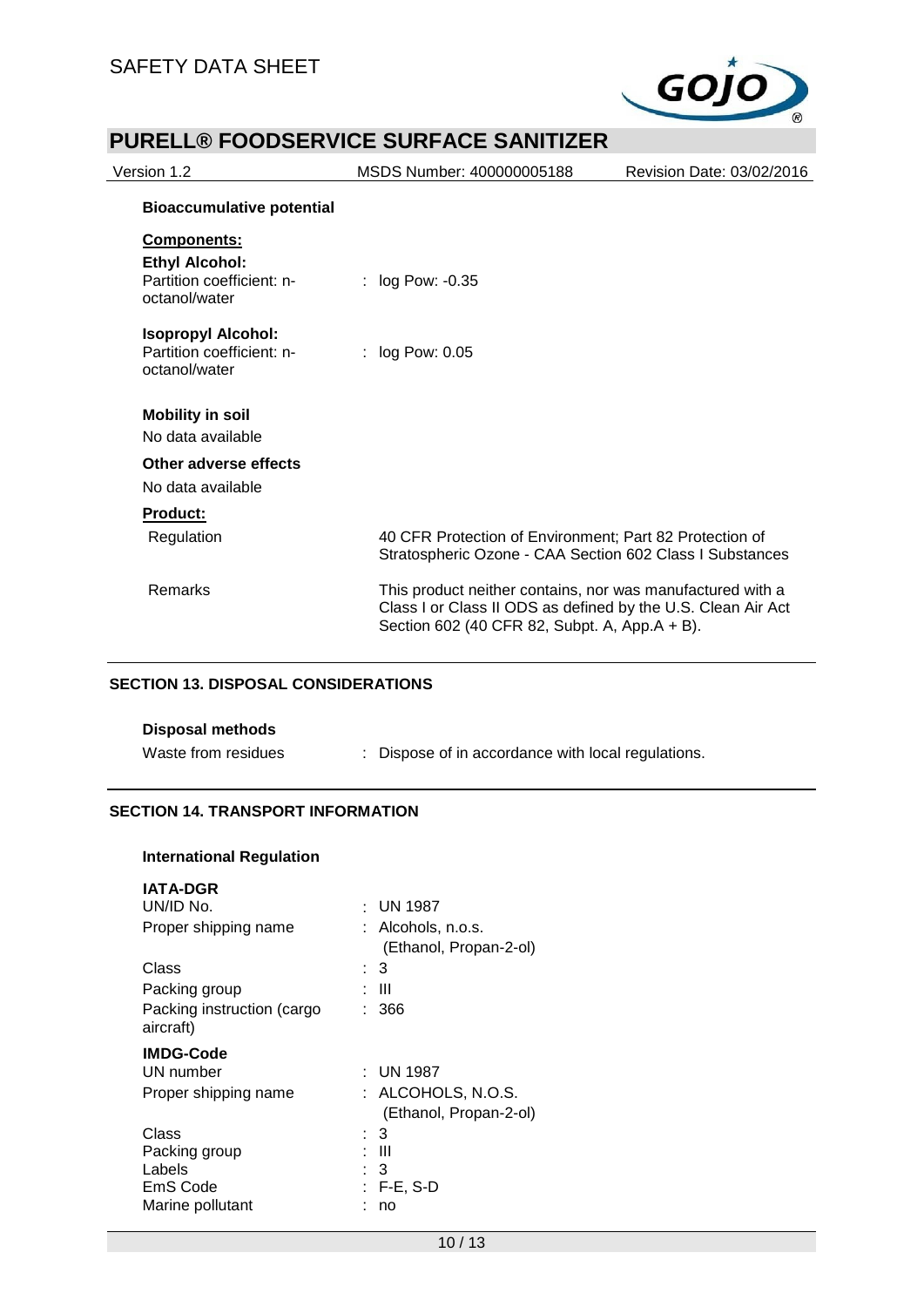

| Version 1.2                                                                        | MSDS Number: 400000005188                                                                                                                                                   | Revision Date: 03/02/2016 |
|------------------------------------------------------------------------------------|-----------------------------------------------------------------------------------------------------------------------------------------------------------------------------|---------------------------|
| <b>Bioaccumulative potential</b>                                                   |                                                                                                                                                                             |                           |
| Components:<br><b>Ethyl Alcohol:</b><br>Partition coefficient: n-<br>octanol/water | : $log Pow: -0.35$                                                                                                                                                          |                           |
| <b>Isopropyl Alcohol:</b><br>Partition coefficient: n-<br>octanol/water            | $:$ log Pow: 0.05                                                                                                                                                           |                           |
| <b>Mobility in soil</b><br>No data available                                       |                                                                                                                                                                             |                           |
| Other adverse effects<br>No data available                                         |                                                                                                                                                                             |                           |
| <b>Product:</b><br>Regulation                                                      | 40 CFR Protection of Environment; Part 82 Protection of<br>Stratospheric Ozone - CAA Section 602 Class I Substances                                                         |                           |
| Remarks                                                                            | This product neither contains, nor was manufactured with a<br>Class I or Class II ODS as defined by the U.S. Clean Air Act<br>Section 602 (40 CFR 82, Subpt. A, App.A + B). |                           |

#### **SECTION 13. DISPOSAL CONSIDERATIONS**

| <b>Disposal methods</b> |                                                    |
|-------------------------|----------------------------------------------------|
| Waste from residues     | : Dispose of in accordance with local regulations. |

## **SECTION 14. TRANSPORT INFORMATION**

**International Regulation**

| <b>IATA-DGR</b>            |                        |
|----------------------------|------------------------|
| UN/ID No.                  | $:$ UN 1987            |
| Proper shipping name       | Alcohols, n.o.s.       |
|                            | (Ethanol, Propan-2-ol) |
| Class                      | : 3                    |
| Packing group              | : III                  |
| Packing instruction (cargo | : 366                  |
| aircraft)                  |                        |
| <b>IMDG-Code</b>           |                        |
| UN number                  | : UN 1987              |
| Proper shipping name       | : ALCOHOLS, N.O.S.     |
|                            | (Ethanol, Propan-2-ol) |
| Class                      | : 3                    |
| Packing group              | : III                  |
| Labels                     | : 3                    |
| EmS Code                   | $: F-E, S-D$           |
| Marine pollutant           | no                     |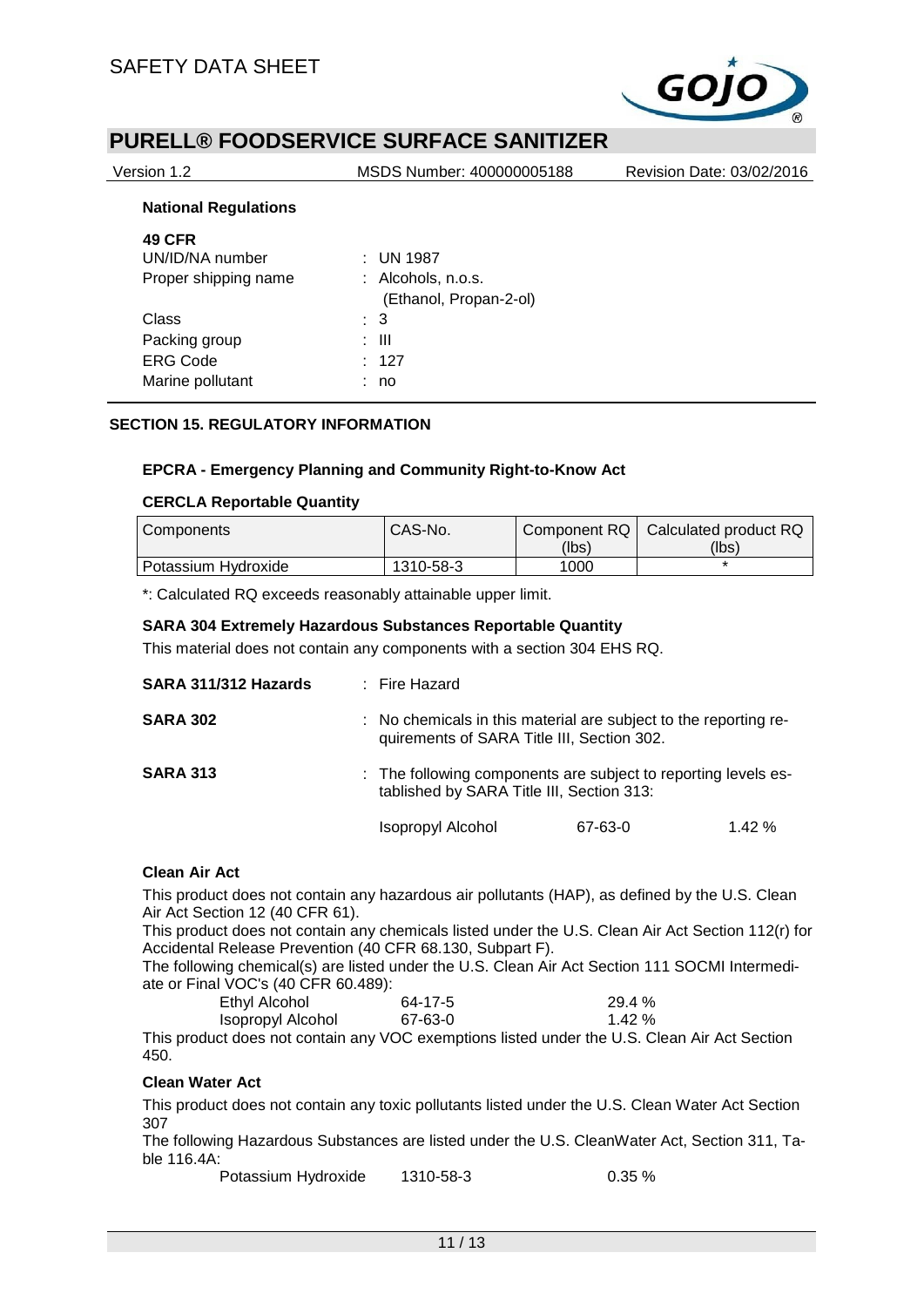

Version 1.2 MSDS Number: 400000005188 Revision Date: 03/02/2016

#### **National Regulations**

| <b>49 CFR</b>        |                        |
|----------------------|------------------------|
| UN/ID/NA number      | $:$ UN 1987            |
| Proper shipping name | : Alcohols, n.o.s.     |
|                      | (Ethanol, Propan-2-ol) |
| Class                | $\therefore$ 3         |
| Packing group        | : III                  |
| <b>ERG Code</b>      | : 127                  |
| Marine pollutant     | no                     |
|                      |                        |

## **SECTION 15. REGULATORY INFORMATION**

#### **EPCRA - Emergency Planning and Community Right-to-Know Act**

#### **CERCLA Reportable Quantity**

| Components          | CAS-No.   |       | Component RQ   Calculated product RQ |
|---------------------|-----------|-------|--------------------------------------|
|                     |           | (lbs) | (lbs)                                |
| Potassium Hvdroxide | 1310-58-3 | 1000  |                                      |

\*: Calculated RQ exceeds reasonably attainable upper limit.

#### **SARA 304 Extremely Hazardous Substances Reportable Quantity**

This material does not contain any components with a section 304 EHS RQ.

| SARA 311/312 Hazards | : Fire Hazard                                                                                                  |         |       |
|----------------------|----------------------------------------------------------------------------------------------------------------|---------|-------|
| <b>SARA 302</b>      | : No chemicals in this material are subject to the reporting re-<br>quirements of SARA Title III, Section 302. |         |       |
| <b>SARA 313</b>      | : The following components are subject to reporting levels es-<br>tablished by SARA Title III, Section 313:    |         |       |
|                      | Isopropyl Alcohol                                                                                              | 67-63-0 | 1.42% |

#### **Clean Air Act**

This product does not contain any hazardous air pollutants (HAP), as defined by the U.S. Clean Air Act Section 12 (40 CFR 61).

This product does not contain any chemicals listed under the U.S. Clean Air Act Section 112(r) for Accidental Release Prevention (40 CFR 68.130, Subpart F).

The following chemical(s) are listed under the U.S. Clean Air Act Section 111 SOCMI Intermediate or Final VOC's (40 CFR 60.489):

| Ethyl Alcohol     | 64-17-5                          | 29.4 % |
|-------------------|----------------------------------|--------|
| Isopropyl Alcohol | 67-63-0                          | 1.42 % |
| .                 | $\sim$ $\sim$ $\sim$ $\sim$<br>. |        |

This product does not contain any VOC exemptions listed under the U.S. Clean Air Act Section 450.

#### **Clean Water Act**

This product does not contain any toxic pollutants listed under the U.S. Clean Water Act Section 307

The following Hazardous Substances are listed under the U.S. CleanWater Act, Section 311, Table 116.4A:

Potassium Hydroxide 1310-58-3 0.35 %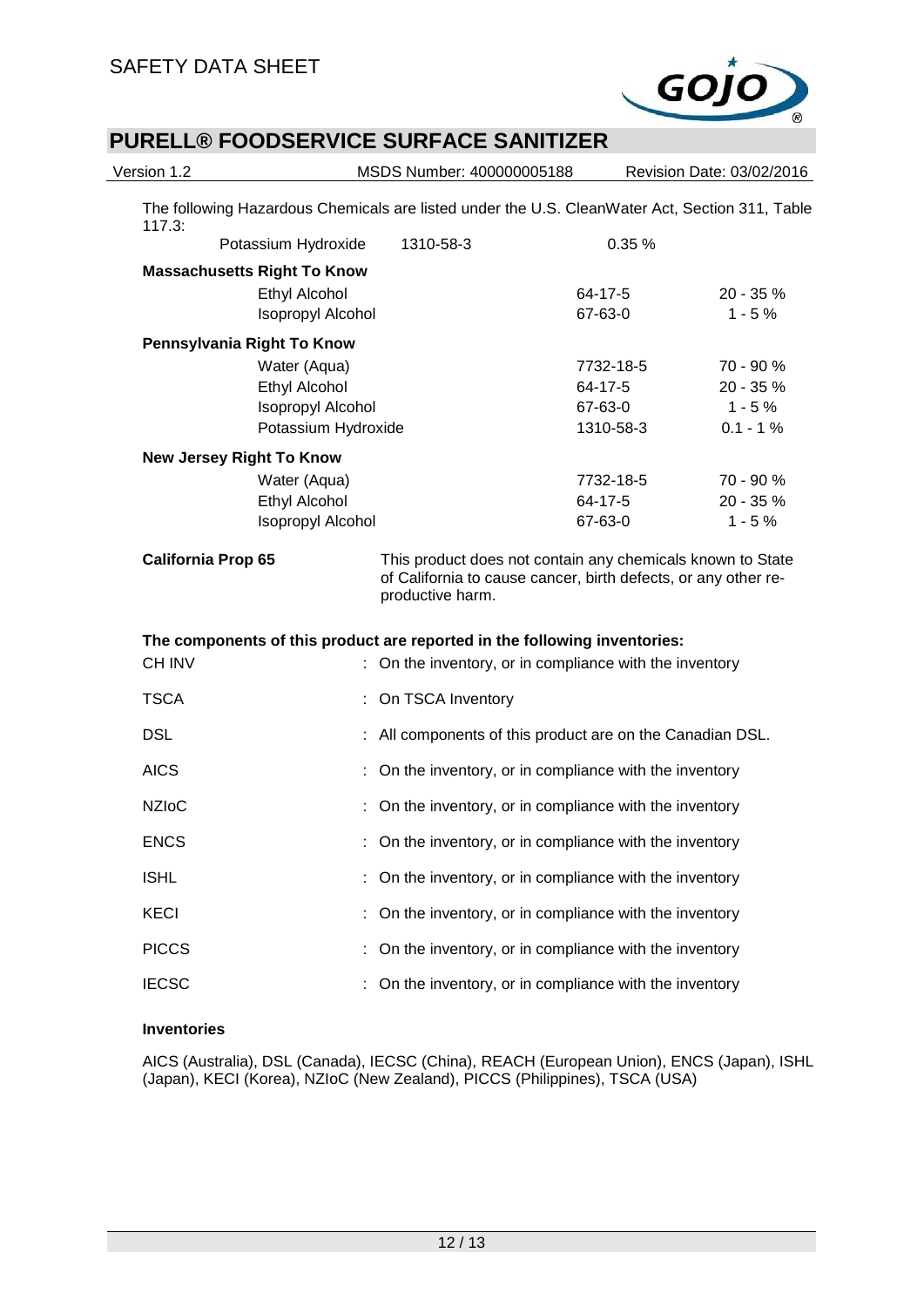

| Version 1.2               |                                    | MSDS Number: 400000005188                                                                                                                        |           | Revision Date: 03/02/2016 |
|---------------------------|------------------------------------|--------------------------------------------------------------------------------------------------------------------------------------------------|-----------|---------------------------|
| 117.3:                    |                                    | The following Hazardous Chemicals are listed under the U.S. CleanWater Act, Section 311, Table                                                   |           |                           |
|                           | Potassium Hydroxide                | 1310-58-3                                                                                                                                        | 0.35%     |                           |
|                           | <b>Massachusetts Right To Know</b> |                                                                                                                                                  |           |                           |
|                           | <b>Ethyl Alcohol</b>               |                                                                                                                                                  | 64-17-5   | 20 - 35 %                 |
|                           | Isopropyl Alcohol                  |                                                                                                                                                  | 67-63-0   | $1 - 5%$                  |
|                           | Pennsylvania Right To Know         |                                                                                                                                                  |           |                           |
|                           | Water (Aqua)                       |                                                                                                                                                  | 7732-18-5 | 70 - 90 %                 |
|                           | Ethyl Alcohol                      |                                                                                                                                                  | 64-17-5   | 20 - 35 %                 |
|                           | Isopropyl Alcohol                  |                                                                                                                                                  | 67-63-0   | $1 - 5%$                  |
|                           | Potassium Hydroxide                |                                                                                                                                                  | 1310-58-3 | $0.1 - 1%$                |
|                           | <b>New Jersey Right To Know</b>    |                                                                                                                                                  |           |                           |
|                           | Water (Aqua)                       |                                                                                                                                                  | 7732-18-5 | 70 - 90 %                 |
|                           | <b>Ethyl Alcohol</b>               |                                                                                                                                                  | 64-17-5   | 20 - 35 %                 |
|                           | <b>Isopropyl Alcohol</b>           |                                                                                                                                                  | 67-63-0   | $1 - 5%$                  |
| <b>California Prop 65</b> |                                    | This product does not contain any chemicals known to State<br>of California to cause cancer, birth defects, or any other re-<br>productive harm. |           |                           |
|                           |                                    | The components of this product are reported in the following inventories:                                                                        |           |                           |
| <b>CH INV</b>             |                                    | On the inventory, or in compliance with the inventory                                                                                            |           |                           |
| <b>TSCA</b>               |                                    | : On TSCA Inventory                                                                                                                              |           |                           |
| <b>DSL</b>                |                                    | : All components of this product are on the Canadian DSL.                                                                                        |           |                           |
| <b>AICS</b>               |                                    | : On the inventory, or in compliance with the inventory                                                                                          |           |                           |
| <b>NZIoC</b>              |                                    | : On the inventory, or in compliance with the inventory                                                                                          |           |                           |
| <b>ENCS</b>               |                                    | : On the inventory, or in compliance with the inventory                                                                                          |           |                           |
| <b>ISHL</b>               |                                    | On the inventory, or in compliance with the inventory                                                                                            |           |                           |
| <b>KECI</b>               |                                    | On the inventory, or in compliance with the inventory                                                                                            |           |                           |
| <b>PICCS</b>              |                                    | On the inventory, or in compliance with the inventory                                                                                            |           |                           |
| <b>IECSC</b>              |                                    | On the inventory, or in compliance with the inventory                                                                                            |           |                           |
|                           |                                    |                                                                                                                                                  |           |                           |

#### **Inventories**

AICS (Australia), DSL (Canada), IECSC (China), REACH (European Union), ENCS (Japan), ISHL (Japan), KECI (Korea), NZIoC (New Zealand), PICCS (Philippines), TSCA (USA)